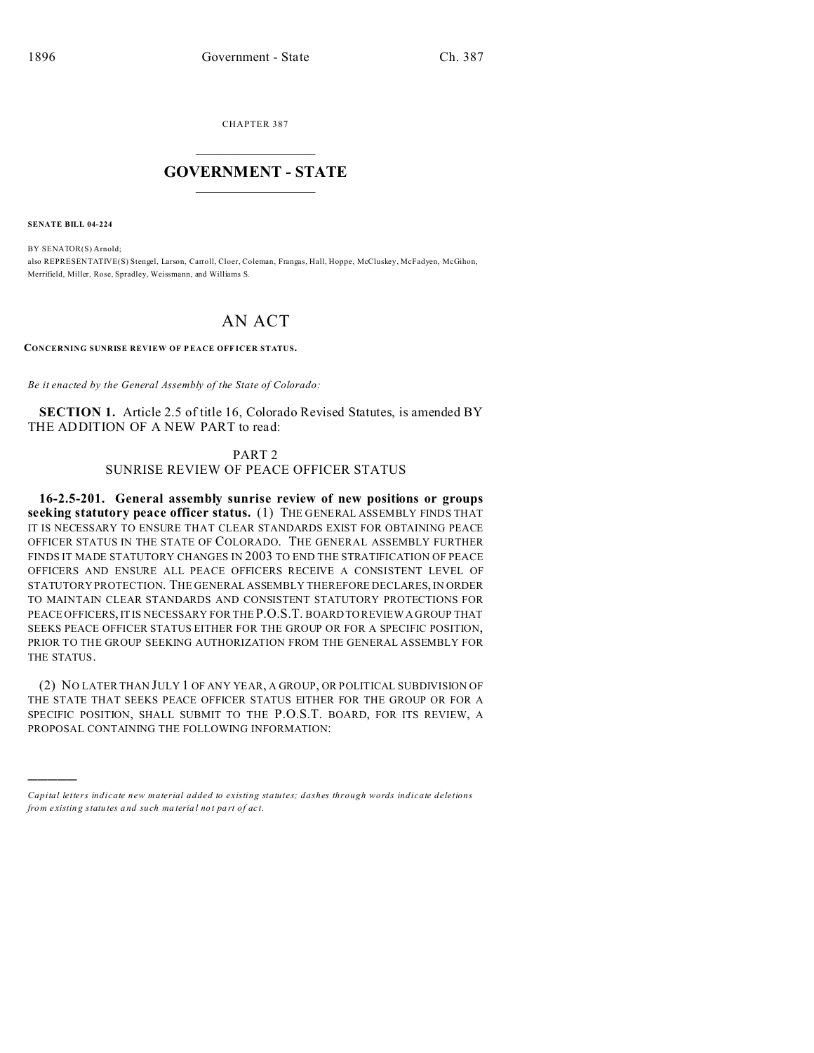CHAPTER 387  $\overline{\phantom{a}}$  , where  $\overline{\phantom{a}}$ 

## **GOVERNMENT - STATE**  $\_$   $\_$

**SENATE BILL 04-224**

)))))

BY SENATOR(S) Arnold; also REPRESENTATIVE(S) Stengel, Larson, Carroll, Cloer, Coleman, Frangas, Hall, Hoppe, McCluskey, McFadyen, McGihon, Merrifield, Miller, Rose, Spradley, Weissmann, and Williams S.

## AN ACT

**CONCERNING SUNRISE REVIEW OF P EACE OFF ICER STATUS.**

*Be it enacted by the General Assembly of the State of Colorado:*

**SECTION 1.** Article 2.5 of title 16, Colorado Revised Statutes, is amended BY THE ADDITION OF A NEW PART to read:

PART 2

SUNRISE REVIEW OF PEACE OFFICER STATUS

**16-2.5-201. General assembly sunrise review of new positions or groups seeking statutory peace officer status.** (1) THE GENERAL ASSEMBLY FINDS THAT IT IS NECESSARY TO ENSURE THAT CLEAR STANDARDS EXIST FOR OBTAINING PEACE OFFICER STATUS IN THE STATE OF COLORADO. THE GENERAL ASSEMBLY FURTHER FINDS IT MADE STATUTORY CHANGES IN 2003 TO END THE STRATIFICATION OF PEACE OFFICERS AND ENSURE ALL PEACE OFFICERS RECEIVE A CONSISTENT LEVEL OF STATUTORY PROTECTION. THE GENERAL ASSEMBLY THEREFORE DECLARES, IN ORDER TO MAINTAIN CLEAR STANDARDS AND CONSISTENT STATUTORY PROTECTIONS FOR PEACE OFFICERS, IT IS NECESSARY FOR THE P.O.S.T. BOARD TO REVIEW A GROUP THAT SEEKS PEACE OFFICER STATUS EITHER FOR THE GROUP OR FOR A SPECIFIC POSITION, PRIOR TO THE GROUP SEEKING AUTHORIZATION FROM THE GENERAL ASSEMBLY FOR THE STATUS.

(2) NO LATER THAN JULY 1 OF ANY YEAR, A GROUP, OR POLITICAL SUBDIVISION OF THE STATE THAT SEEKS PEACE OFFICER STATUS EITHER FOR THE GROUP OR FOR A SPECIFIC POSITION, SHALL SUBMIT TO THE P.O.S.T. BOARD, FOR ITS REVIEW, A PROPOSAL CONTAINING THE FOLLOWING INFORMATION:

*Capital letters indicate new material added to existing statutes; dashes through words indicate deletions from e xistin g statu tes a nd such ma teria l no t pa rt of ac t.*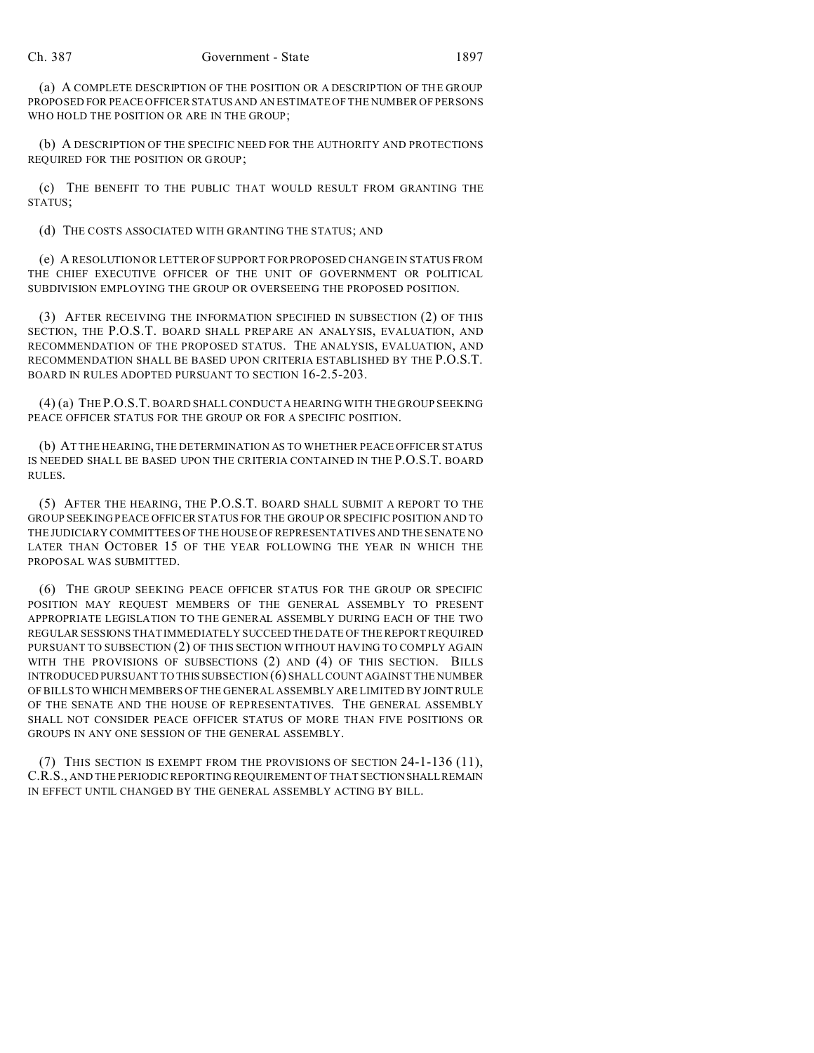(a) A COMPLETE DESCRIPTION OF THE POSITION OR A DESCRIPTION OF THE GROUP PROPOSED FOR PEACE OFFICER STATUS AND AN ESTIMATE OF THE NUMBER OF PERSONS WHO HOLD THE POSITION OR ARE IN THE GROUP;

(b) A DESCRIPTION OF THE SPECIFIC NEED FOR THE AUTHORITY AND PROTECTIONS REQUIRED FOR THE POSITION OR GROUP;

(c) THE BENEFIT TO THE PUBLIC THAT WOULD RESULT FROM GRANTING THE STATUS;

(d) THE COSTS ASSOCIATED WITH GRANTING THE STATUS; AND

(e) A RESOLUTION OR LETTER OF SUPPORT FOR PROPOSED CHANGE IN STATUS FROM THE CHIEF EXECUTIVE OFFICER OF THE UNIT OF GOVERNMENT OR POLITICAL SUBDIVISION EMPLOYING THE GROUP OR OVERSEEING THE PROPOSED POSITION.

(3) AFTER RECEIVING THE INFORMATION SPECIFIED IN SUBSECTION (2) OF THIS SECTION, THE P.O.S.T. BOARD SHALL PREPARE AN ANALYSIS, EVALUATION, AND RECOMMENDATION OF THE PROPOSED STATUS. THE ANALYSIS, EVALUATION, AND RECOMMENDATION SHALL BE BASED UPON CRITERIA ESTABLISHED BY THE P.O.S.T. BOARD IN RULES ADOPTED PURSUANT TO SECTION 16-2.5-203.

(4) (a) THE P.O.S.T. BOARD SHALL CONDUCT A HEARING WITH THE GROUP SEEKING PEACE OFFICER STATUS FOR THE GROUP OR FOR A SPECIFIC POSITION.

(b) AT THE HEARING, THE DETERMINATION AS TO WHETHER PEACE OFFICER STATUS IS NEEDED SHALL BE BASED UPON THE CRITERIA CONTAINED IN THE P.O.S.T. BOARD RULES.

(5) AFTER THE HEARING, THE P.O.S.T. BOARD SHALL SUBMIT A REPORT TO THE GROUP SEEKING PEACE OFFICER STATUS FOR THE GROUP OR SPECIFIC POSITION AND TO THE JUDICIARY COMMITTEES OF THE HOUSE OF REPRESENTATIVES AND THE SENATE NO LATER THAN OCTOBER 15 OF THE YEAR FOLLOWING THE YEAR IN WHICH THE PROPOSAL WAS SUBMITTED.

(6) THE GROUP SEEKING PEACE OFFICER STATUS FOR THE GROUP OR SPECIFIC POSITION MAY REQUEST MEMBERS OF THE GENERAL ASSEMBLY TO PRESENT APPROPRIATE LEGISLATION TO THE GENERAL ASSEMBLY DURING EACH OF THE TWO REGULAR SESSIONS THAT IMMEDIATELY SUCCEED THE DATE OF THE REPORT REQUIRED PURSUANT TO SUBSECTION (2) OF THIS SECTION WITHOUT HAVING TO COMPLY AGAIN WITH THE PROVISIONS OF SUBSECTIONS (2) AND (4) OF THIS SECTION. BILLS INTRODUCED PURSUANT TO THIS SUBSECTION (6) SHALL COUNT AGAINST THE NUMBER OF BILLS TO WHICH MEMBERS OF THE GENERAL ASSEMBLY ARE LIMITED BY JOINT RULE OF THE SENATE AND THE HOUSE OF REPRESENTATIVES. THE GENERAL ASSEMBLY SHALL NOT CONSIDER PEACE OFFICER STATUS OF MORE THAN FIVE POSITIONS OR GROUPS IN ANY ONE SESSION OF THE GENERAL ASSEMBLY.

(7) THIS SECTION IS EXEMPT FROM THE PROVISIONS OF SECTION 24-1-136 (11), C.R.S., AND THE PERIODIC REPORTING REQUIREMENT OF THAT SECTIONSHALLREMAIN IN EFFECT UNTIL CHANGED BY THE GENERAL ASSEMBLY ACTING BY BILL.